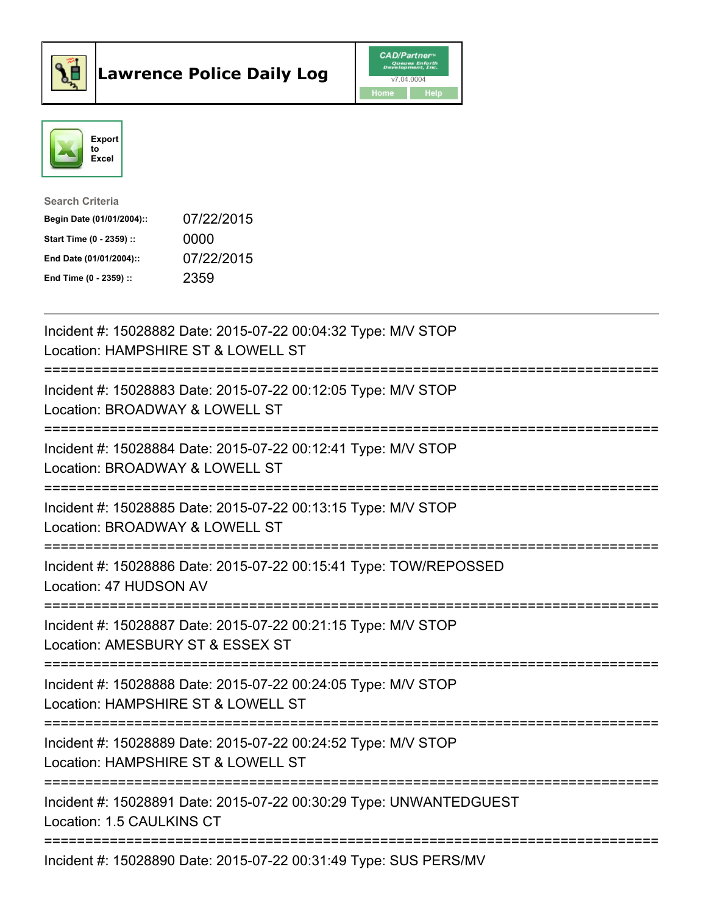



| <b>Search Criteria</b>    |            |
|---------------------------|------------|
| Begin Date (01/01/2004):: | 07/22/2015 |
| Start Time (0 - 2359) ::  | 0000       |
| End Date (01/01/2004)::   | 07/22/2015 |
| End Time $(0 - 2359)$ :   | 2359       |

| Incident #: 15028882 Date: 2015-07-22 00:04:32 Type: M/V STOP<br>Location: HAMPSHIRE ST & LOWELL ST             |
|-----------------------------------------------------------------------------------------------------------------|
| Incident #: 15028883 Date: 2015-07-22 00:12:05 Type: M/V STOP<br>Location: BROADWAY & LOWELL ST                 |
| Incident #: 15028884 Date: 2015-07-22 00:12:41 Type: M/V STOP<br>Location: BROADWAY & LOWELL ST                 |
| Incident #: 15028885 Date: 2015-07-22 00:13:15 Type: M/V STOP<br>Location: BROADWAY & LOWELL ST                 |
| Incident #: 15028886 Date: 2015-07-22 00:15:41 Type: TOW/REPOSSED<br>Location: 47 HUDSON AV<br>================ |
| Incident #: 15028887 Date: 2015-07-22 00:21:15 Type: M/V STOP<br>Location: AMESBURY ST & ESSEX ST               |
| Incident #: 15028888 Date: 2015-07-22 00:24:05 Type: M/V STOP<br>Location: HAMPSHIRE ST & LOWELL ST             |
| Incident #: 15028889 Date: 2015-07-22 00:24:52 Type: M/V STOP<br>Location: HAMPSHIRE ST & LOWELL ST             |
| Incident #: 15028891 Date: 2015-07-22 00:30:29 Type: UNWANTEDGUEST<br>Location: 1.5 CAULKINS CT                 |
| Incident #: 15028890 Date: 2015-07-22 00:31:49 Type: SUS PERS/MV                                                |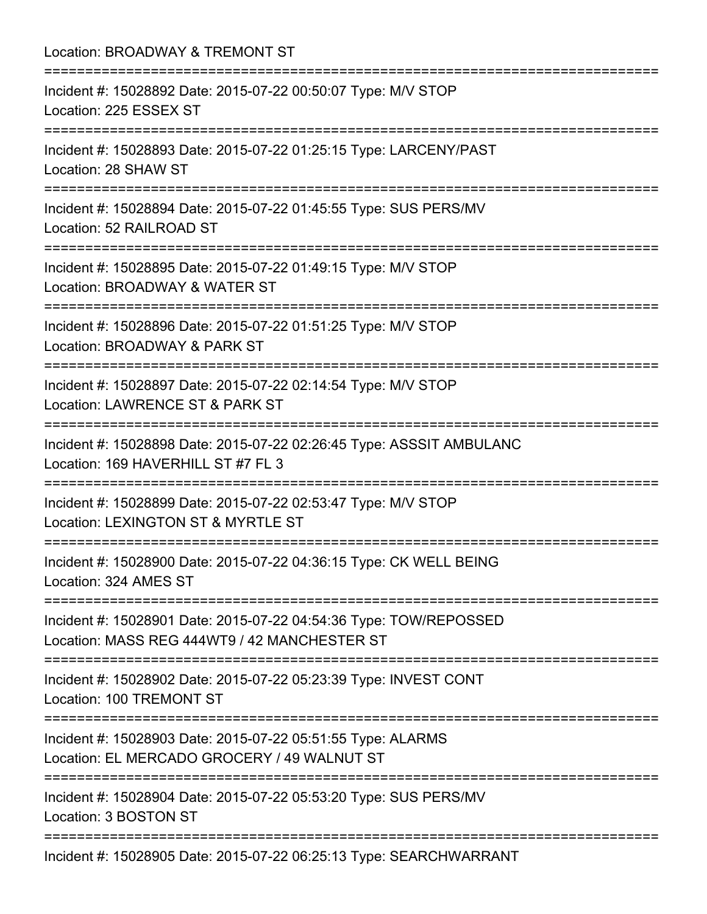| Location: BROADWAY & TREMONT ST<br>:====================                                                                           |
|------------------------------------------------------------------------------------------------------------------------------------|
| Incident #: 15028892 Date: 2015-07-22 00:50:07 Type: M/V STOP<br>Location: 225 ESSEX ST                                            |
| Incident #: 15028893 Date: 2015-07-22 01:25:15 Type: LARCENY/PAST<br>Location: 28 SHAW ST                                          |
| Incident #: 15028894 Date: 2015-07-22 01:45:55 Type: SUS PERS/MV<br>Location: 52 RAILROAD ST                                       |
| Incident #: 15028895 Date: 2015-07-22 01:49:15 Type: M/V STOP<br>Location: BROADWAY & WATER ST                                     |
| Incident #: 15028896 Date: 2015-07-22 01:51:25 Type: M/V STOP<br>Location: BROADWAY & PARK ST                                      |
| ================<br>Incident #: 15028897 Date: 2015-07-22 02:14:54 Type: M/V STOP<br>Location: LAWRENCE ST & PARK ST               |
| Incident #: 15028898 Date: 2015-07-22 02:26:45 Type: ASSSIT AMBULANC<br>Location: 169 HAVERHILL ST #7 FL 3                         |
| ===========================<br>Incident #: 15028899 Date: 2015-07-22 02:53:47 Type: M/V STOP<br>Location: LEXINGTON ST & MYRTLE ST |
| Incident #: 15028900 Date: 2015-07-22 04:36:15 Type: CK WELL BEING<br>Location: 324 AMES ST                                        |
| Incident #: 15028901 Date: 2015-07-22 04:54:36 Type: TOW/REPOSSED<br>Location: MASS REG 444WT9 / 42 MANCHESTER ST                  |
| Incident #: 15028902 Date: 2015-07-22 05:23:39 Type: INVEST CONT<br>Location: 100 TREMONT ST                                       |
| Incident #: 15028903 Date: 2015-07-22 05:51:55 Type: ALARMS<br>Location: EL MERCADO GROCERY / 49 WALNUT ST                         |
| Incident #: 15028904 Date: 2015-07-22 05:53:20 Type: SUS PERS/MV<br>Location: 3 BOSTON ST                                          |
| Incident #: 15028905 Date: 2015-07-22 06:25:13 Type: SEARCHWARRANT                                                                 |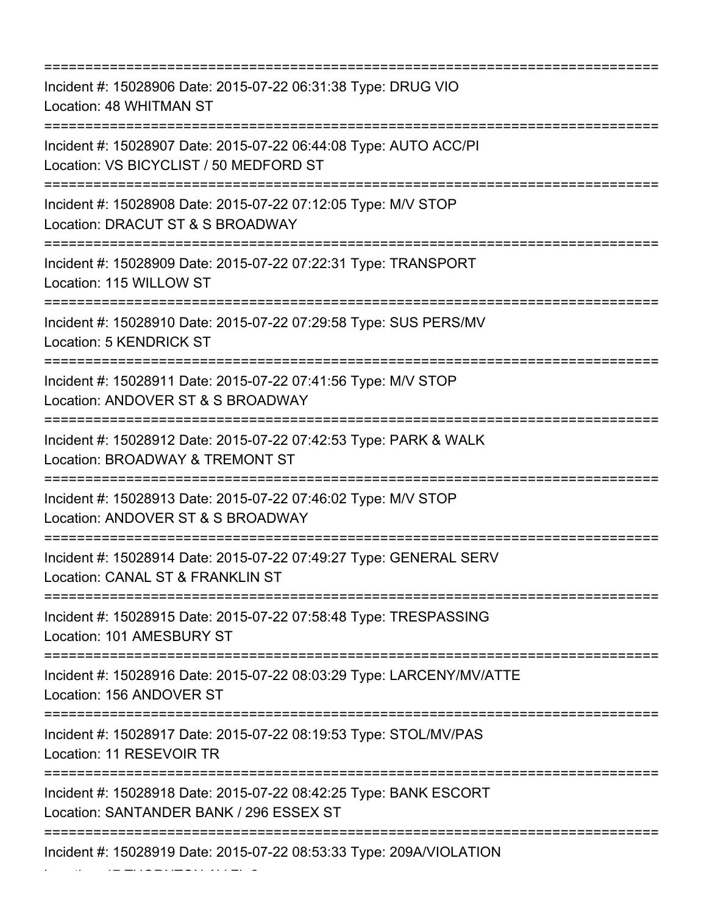=========================================================================== Incident #: 15028906 Date: 2015-07-22 06:31:38 Type: DRUG VIO Location: 48 WHITMAN ST =========================================================================== Incident #: 15028907 Date: 2015-07-22 06:44:08 Type: AUTO ACC/PI Location: VS BICYCLIST / 50 MEDFORD ST =========================================================================== Incident #: 15028908 Date: 2015-07-22 07:12:05 Type: M/V STOP Location: DRACUT ST & S BROADWAY =========================================================================== Incident #: 15028909 Date: 2015-07-22 07:22:31 Type: TRANSPORT Location: 115 WILLOW ST =========================================================================== Incident #: 15028910 Date: 2015-07-22 07:29:58 Type: SUS PERS/MV Location: 5 KENDRICK ST =========================================================================== Incident #: 15028911 Date: 2015-07-22 07:41:56 Type: M/V STOP Location: ANDOVER ST & S BROADWAY =========================================================================== Incident #: 15028912 Date: 2015-07-22 07:42:53 Type: PARK & WALK Location: BROADWAY & TREMONT ST =========================================================================== Incident #: 15028913 Date: 2015-07-22 07:46:02 Type: M/V STOP Location: ANDOVER ST & S BROADWAY =========================================================================== Incident #: 15028914 Date: 2015-07-22 07:49:27 Type: GENERAL SERV Location: CANAL ST & FRANKLIN ST =========================================================================== Incident #: 15028915 Date: 2015-07-22 07:58:48 Type: TRESPASSING Location: 101 AMESBURY ST =========================================================================== Incident #: 15028916 Date: 2015-07-22 08:03:29 Type: LARCENY/MV/ATTE Location: 156 ANDOVER ST =========================================================================== Incident #: 15028917 Date: 2015-07-22 08:19:53 Type: STOL/MV/PAS Location: 11 RESEVOIR TR =========================================================================== Incident #: 15028918 Date: 2015-07-22 08:42:25 Type: BANK ESCORT Location: SANTANDER BANK / 296 ESSEX ST =========================================================================== Incident #: 15028919 Date: 2015-07-22 08:53:33 Type: 209A/VIOLATION

Location: 17 THORNTON AV FL 2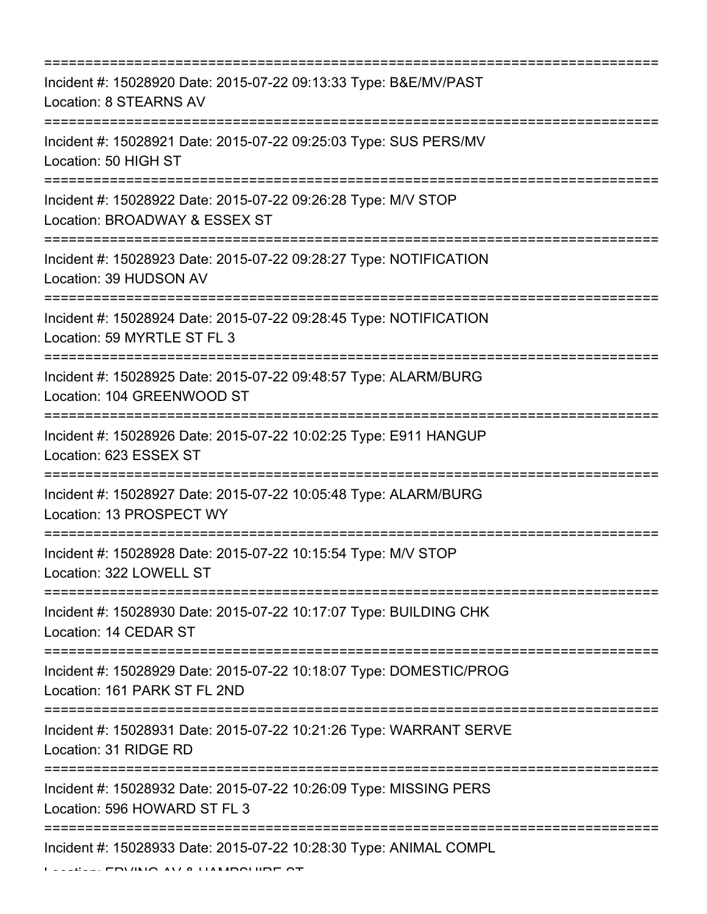| Incident #: 15028920 Date: 2015-07-22 09:13:33 Type: B&E/MV/PAST<br>Location: 8 STEARNS AV                           |
|----------------------------------------------------------------------------------------------------------------------|
| Incident #: 15028921 Date: 2015-07-22 09:25:03 Type: SUS PERS/MV<br>Location: 50 HIGH ST                             |
| Incident #: 15028922 Date: 2015-07-22 09:26:28 Type: M/V STOP<br>Location: BROADWAY & ESSEX ST                       |
| Incident #: 15028923 Date: 2015-07-22 09:28:27 Type: NOTIFICATION<br>Location: 39 HUDSON AV                          |
| Incident #: 15028924 Date: 2015-07-22 09:28:45 Type: NOTIFICATION<br>Location: 59 MYRTLE ST FL 3                     |
| Incident #: 15028925 Date: 2015-07-22 09:48:57 Type: ALARM/BURG<br>Location: 104 GREENWOOD ST                        |
| Incident #: 15028926 Date: 2015-07-22 10:02:25 Type: E911 HANGUP<br>Location: 623 ESSEX ST                           |
| Incident #: 15028927 Date: 2015-07-22 10:05:48 Type: ALARM/BURG<br>Location: 13 PROSPECT WY                          |
| Incident #: 15028928 Date: 2015-07-22 10:15:54 Type: M/V STOP<br>Location: 322 LOWELL ST                             |
| Incident #: 15028930 Date: 2015-07-22 10:17:07 Type: BUILDING CHK<br>Location: 14 CEDAR ST                           |
| --------------<br>Incident #: 15028929 Date: 2015-07-22 10:18:07 Type: DOMESTIC/PROG<br>Location: 161 PARK ST FL 2ND |
| Incident #: 15028931 Date: 2015-07-22 10:21:26 Type: WARRANT SERVE<br>Location: 31 RIDGE RD                          |
| Incident #: 15028932 Date: 2015-07-22 10:26:09 Type: MISSING PERS<br>Location: 596 HOWARD ST FL 3                    |
| Incident #: 15028933 Date: 2015-07-22 10:28:30 Type: ANIMAL COMPL                                                    |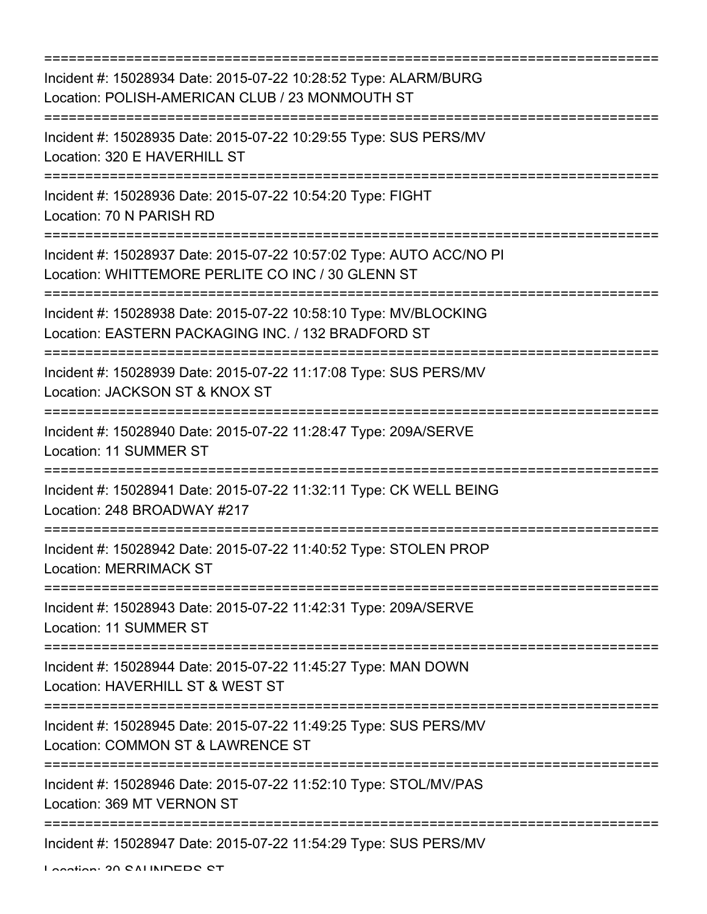| Incident #: 15028934 Date: 2015-07-22 10:28:52 Type: ALARM/BURG<br>Location: POLISH-AMERICAN CLUB / 23 MONMOUTH ST<br>=================================    |
|------------------------------------------------------------------------------------------------------------------------------------------------------------|
| Incident #: 15028935 Date: 2015-07-22 10:29:55 Type: SUS PERS/MV<br>Location: 320 E HAVERHILL ST                                                           |
| Incident #: 15028936 Date: 2015-07-22 10:54:20 Type: FIGHT<br>Location: 70 N PARISH RD<br>===================================                              |
| Incident #: 15028937 Date: 2015-07-22 10:57:02 Type: AUTO ACC/NO PI<br>Location: WHITTEMORE PERLITE CO INC / 30 GLENN ST<br>=====================          |
| Incident #: 15028938 Date: 2015-07-22 10:58:10 Type: MV/BLOCKING<br>Location: EASTERN PACKAGING INC. / 132 BRADFORD ST                                     |
| Incident #: 15028939 Date: 2015-07-22 11:17:08 Type: SUS PERS/MV<br>Location: JACKSON ST & KNOX ST                                                         |
| Incident #: 15028940 Date: 2015-07-22 11:28:47 Type: 209A/SERVE<br>Location: 11 SUMMER ST                                                                  |
| :=====================================<br>Incident #: 15028941 Date: 2015-07-22 11:32:11 Type: CK WELL BEING<br>Location: 248 BROADWAY #217                |
| =================<br>Incident #: 15028942 Date: 2015-07-22 11:40:52 Type: STOLEN PROP<br>Location: MERRIMACK ST                                            |
| :================================<br>========================<br>Incident #: 15028943 Date: 2015-07-22 11:42:31 Type: 209A/SERVE<br>Location: 11 SUMMER ST |
| Incident #: 15028944 Date: 2015-07-22 11:45:27 Type: MAN DOWN<br>Location: HAVERHILL ST & WEST ST                                                          |
| Incident #: 15028945 Date: 2015-07-22 11:49:25 Type: SUS PERS/MV<br>Location: COMMON ST & LAWRENCE ST                                                      |
| Incident #: 15028946 Date: 2015-07-22 11:52:10 Type: STOL/MV/PAS<br>Location: 369 MT VERNON ST                                                             |
| =======================<br>Incident #: 15028947 Date: 2015-07-22 11:54:29 Type: SUS PERS/MV                                                                |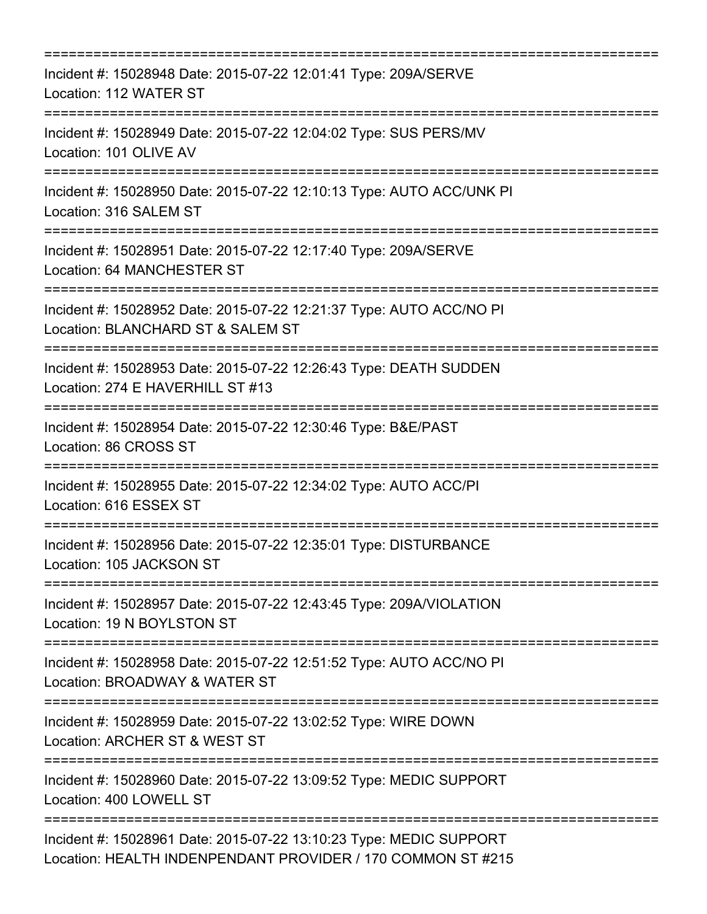| Incident #: 15028948 Date: 2015-07-22 12:01:41 Type: 209A/SERVE<br>Location: 112 WATER ST                                         |
|-----------------------------------------------------------------------------------------------------------------------------------|
| Incident #: 15028949 Date: 2015-07-22 12:04:02 Type: SUS PERS/MV<br>Location: 101 OLIVE AV                                        |
| Incident #: 15028950 Date: 2015-07-22 12:10:13 Type: AUTO ACC/UNK PI<br>Location: 316 SALEM ST                                    |
| Incident #: 15028951 Date: 2015-07-22 12:17:40 Type: 209A/SERVE<br>Location: 64 MANCHESTER ST                                     |
| Incident #: 15028952 Date: 2015-07-22 12:21:37 Type: AUTO ACC/NO PI<br>Location: BLANCHARD ST & SALEM ST                          |
| Incident #: 15028953 Date: 2015-07-22 12:26:43 Type: DEATH SUDDEN<br>Location: 274 E HAVERHILL ST #13                             |
| Incident #: 15028954 Date: 2015-07-22 12:30:46 Type: B&E/PAST<br>Location: 86 CROSS ST                                            |
| ================================<br>Incident #: 15028955 Date: 2015-07-22 12:34:02 Type: AUTO ACC/PI<br>Location: 616 ESSEX ST    |
| Incident #: 15028956 Date: 2015-07-22 12:35:01 Type: DISTURBANCE<br>Location: 105 JACKSON ST<br>-----------------------------     |
| ===================<br>Incident #: 15028957 Date: 2015-07-22 12:43:45 Type: 209A/VIOLATION<br>Location: 19 N BOYLSTON ST          |
| Incident #: 15028958 Date: 2015-07-22 12:51:52 Type: AUTO ACC/NO PI<br>Location: BROADWAY & WATER ST                              |
| Incident #: 15028959 Date: 2015-07-22 13:02:52 Type: WIRE DOWN<br>Location: ARCHER ST & WEST ST                                   |
| Incident #: 15028960 Date: 2015-07-22 13:09:52 Type: MEDIC SUPPORT<br>Location: 400 LOWELL ST                                     |
| Incident #: 15028961 Date: 2015-07-22 13:10:23 Type: MEDIC SUPPORT<br>Location: HEALTH INDENPENDANT PROVIDER / 170 COMMON ST #215 |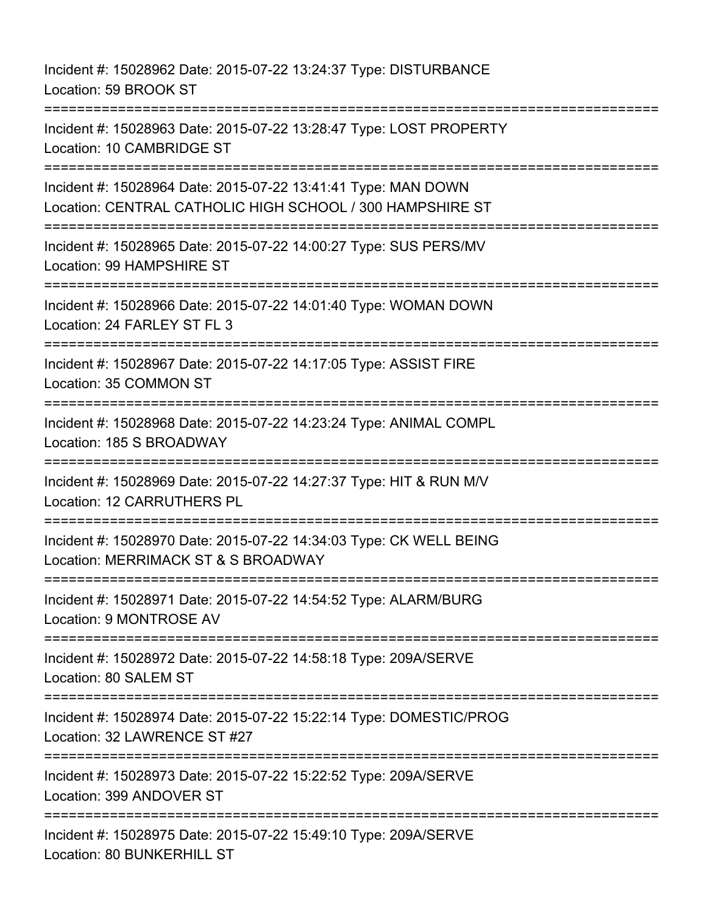Incident #: 15028962 Date: 2015-07-22 13:24:37 Type: DISTURBANCE Location: 59 BROOK ST =========================================================================== Incident #: 15028963 Date: 2015-07-22 13:28:47 Type: LOST PROPERTY Location: 10 CAMBRIDGE ST =========================================================================== Incident #: 15028964 Date: 2015-07-22 13:41:41 Type: MAN DOWN Location: CENTRAL CATHOLIC HIGH SCHOOL / 300 HAMPSHIRE ST =========================================================================== Incident #: 15028965 Date: 2015-07-22 14:00:27 Type: SUS PERS/MV Location: 99 HAMPSHIRE ST =========================================================================== Incident #: 15028966 Date: 2015-07-22 14:01:40 Type: WOMAN DOWN Location: 24 FARLEY ST FL 3 =========================================================================== Incident #: 15028967 Date: 2015-07-22 14:17:05 Type: ASSIST FIRE Location: 35 COMMON ST =========================================================================== Incident #: 15028968 Date: 2015-07-22 14:23:24 Type: ANIMAL COMPL Location: 185 S BROADWAY =========================================================================== Incident #: 15028969 Date: 2015-07-22 14:27:37 Type: HIT & RUN M/V Location: 12 CARRUTHERS PL =========================================================================== Incident #: 15028970 Date: 2015-07-22 14:34:03 Type: CK WELL BEING Location: MERRIMACK ST & S BROADWAY =========================================================================== Incident #: 15028971 Date: 2015-07-22 14:54:52 Type: ALARM/BURG Location: 9 MONTROSE AV =========================================================================== Incident #: 15028972 Date: 2015-07-22 14:58:18 Type: 209A/SERVE Location: 80 SALEM ST =========================================================================== Incident #: 15028974 Date: 2015-07-22 15:22:14 Type: DOMESTIC/PROG Location: 32 LAWRENCE ST #27 =========================================================================== Incident #: 15028973 Date: 2015-07-22 15:22:52 Type: 209A/SERVE Location: 399 ANDOVER ST ========================== Incident #: 15028975 Date: 2015-07-22 15:49:10 Type: 209A/SERVE Location: 80 BUNKERHILL ST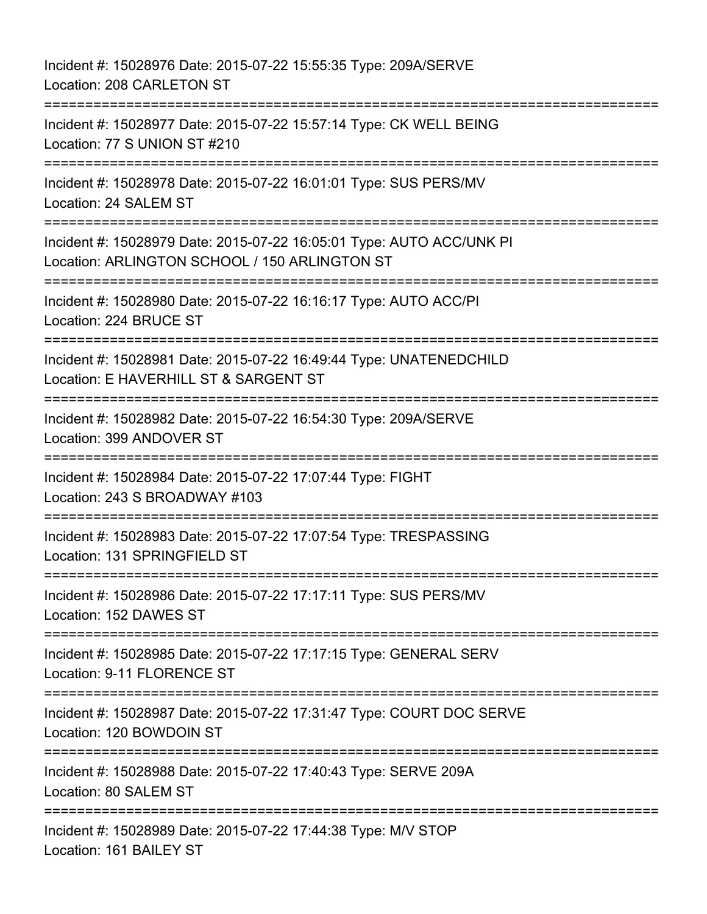Incident #: 15028976 Date: 2015-07-22 15:55:35 Type: 209A/SERVE Location: 208 CARLETON ST =========================================================================== Incident #: 15028977 Date: 2015-07-22 15:57:14 Type: CK WELL BEING Location: 77 S UNION ST #210 =========================================================================== Incident #: 15028978 Date: 2015-07-22 16:01:01 Type: SUS PERS/MV Location: 24 SALEM ST =========================================================================== Incident #: 15028979 Date: 2015-07-22 16:05:01 Type: AUTO ACC/UNK PI Location: ARLINGTON SCHOOL / 150 ARLINGTON ST =========================================================================== Incident #: 15028980 Date: 2015-07-22 16:16:17 Type: AUTO ACC/PI Location: 224 BRUCE ST =========================================================================== Incident #: 15028981 Date: 2015-07-22 16:49:44 Type: UNATENEDCHILD Location: E HAVERHILL ST & SARGENT ST =========================================================================== Incident #: 15028982 Date: 2015-07-22 16:54:30 Type: 209A/SERVE Location: 399 ANDOVER ST =========================================================================== Incident #: 15028984 Date: 2015-07-22 17:07:44 Type: FIGHT Location: 243 S BROADWAY #103 ====================== Incident #: 15028983 Date: 2015-07-22 17:07:54 Type: TRESPASSING Location: 131 SPRINGFIELD ST =========================================================================== Incident #: 15028986 Date: 2015-07-22 17:17:11 Type: SUS PERS/MV Location: 152 DAWES ST =========================================================================== Incident #: 15028985 Date: 2015-07-22 17:17:15 Type: GENERAL SERV Location: 9-11 FLORENCE ST =========================================================================== Incident #: 15028987 Date: 2015-07-22 17:31:47 Type: COURT DOC SERVE Location: 120 BOWDOIN ST =========================================================================== Incident #: 15028988 Date: 2015-07-22 17:40:43 Type: SERVE 209A Location: 80 SALEM ST =========================================================================== Incident #: 15028989 Date: 2015-07-22 17:44:38 Type: M/V STOP Location: 161 BAILEY ST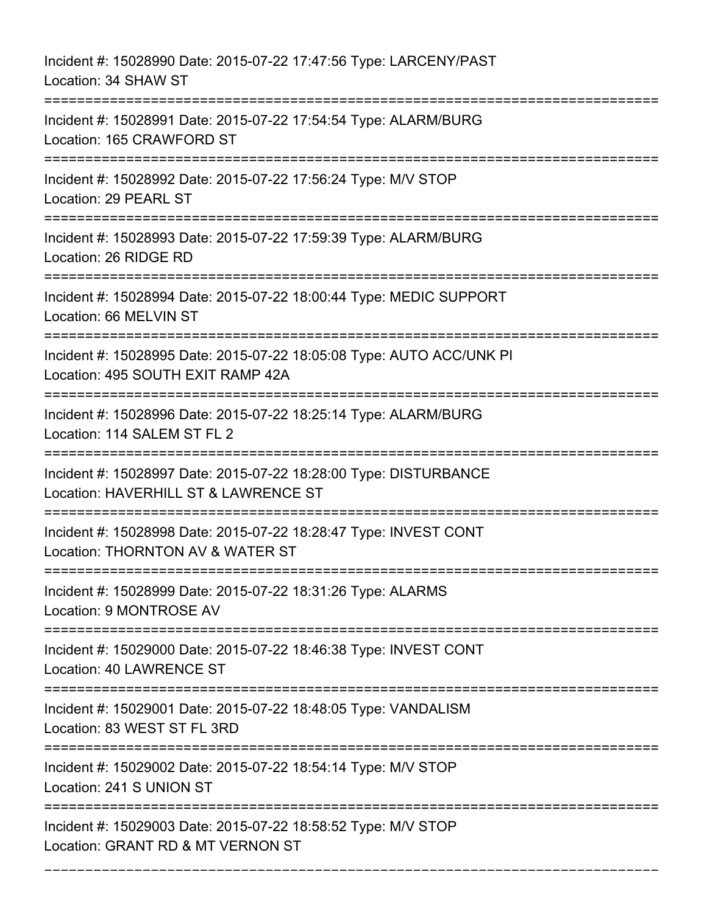Incident #: 15028990 Date: 2015-07-22 17:47:56 Type: LARCENY/PAST Location: 34 SHAW ST =========================================================================== Incident #: 15028991 Date: 2015-07-22 17:54:54 Type: ALARM/BURG Location: 165 CRAWFORD ST =========================================================================== Incident #: 15028992 Date: 2015-07-22 17:56:24 Type: M/V STOP Location: 29 PEARL ST =========================================================================== Incident #: 15028993 Date: 2015-07-22 17:59:39 Type: ALARM/BURG Location: 26 RIDGE RD =========================================================================== Incident #: 15028994 Date: 2015-07-22 18:00:44 Type: MEDIC SUPPORT Location: 66 MELVIN ST =========================================================================== Incident #: 15028995 Date: 2015-07-22 18:05:08 Type: AUTO ACC/UNK PI Location: 495 SOUTH EXIT RAMP 42A =========================================================================== Incident #: 15028996 Date: 2015-07-22 18:25:14 Type: ALARM/BURG Location: 114 SALEM ST FL 2 =========================================================================== Incident #: 15028997 Date: 2015-07-22 18:28:00 Type: DISTURBANCE Location: HAVERHILL ST & LAWRENCE ST =========================================================================== Incident #: 15028998 Date: 2015-07-22 18:28:47 Type: INVEST CONT Location: THORNTON AV & WATER ST =========================================================================== Incident #: 15028999 Date: 2015-07-22 18:31:26 Type: ALARMS Location: 9 MONTROSE AV =========================================================================== Incident #: 15029000 Date: 2015-07-22 18:46:38 Type: INVEST CONT Location: 40 LAWRENCE ST =========================================================================== Incident #: 15029001 Date: 2015-07-22 18:48:05 Type: VANDALISM Location: 83 WEST ST FL 3RD =========================================================================== Incident #: 15029002 Date: 2015-07-22 18:54:14 Type: M/V STOP Location: 241 S UNION ST =========================================================================== Incident #: 15029003 Date: 2015-07-22 18:58:52 Type: M/V STOP Location: GRANT RD & MT VERNON ST

===========================================================================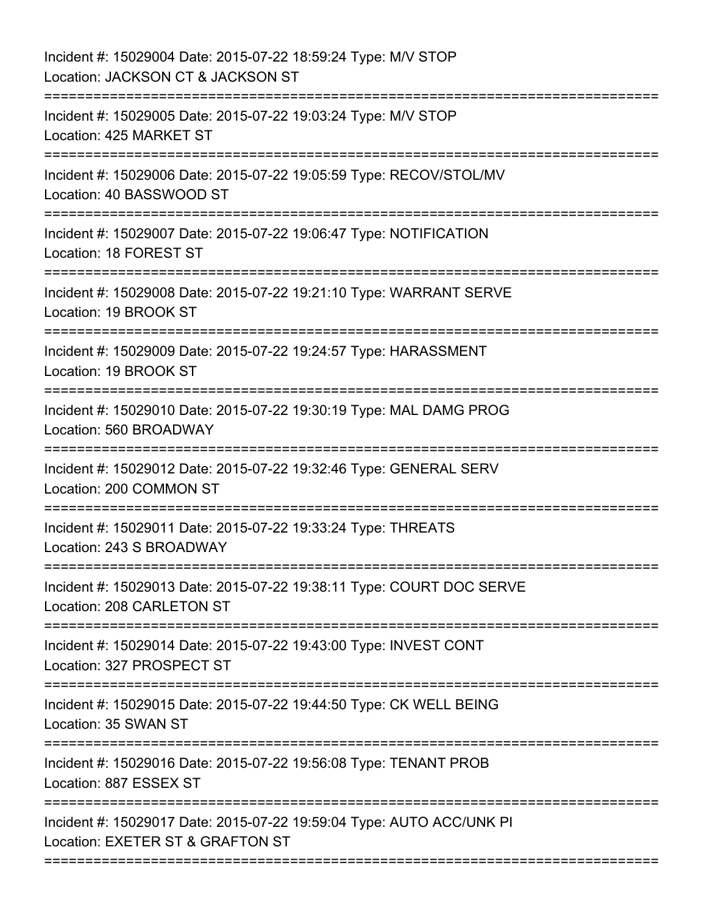| Incident #: 15029004 Date: 2015-07-22 18:59:24 Type: M/V STOP<br>Location: JACKSON CT & JACKSON ST       |
|----------------------------------------------------------------------------------------------------------|
| Incident #: 15029005 Date: 2015-07-22 19:03:24 Type: M/V STOP<br>Location: 425 MARKET ST                 |
| Incident #: 15029006 Date: 2015-07-22 19:05:59 Type: RECOV/STOL/MV<br>Location: 40 BASSWOOD ST           |
| Incident #: 15029007 Date: 2015-07-22 19:06:47 Type: NOTIFICATION<br>Location: 18 FOREST ST              |
| Incident #: 15029008 Date: 2015-07-22 19:21:10 Type: WARRANT SERVE<br>Location: 19 BROOK ST              |
| Incident #: 15029009 Date: 2015-07-22 19:24:57 Type: HARASSMENT<br>Location: 19 BROOK ST                 |
| Incident #: 15029010 Date: 2015-07-22 19:30:19 Type: MAL DAMG PROG<br>Location: 560 BROADWAY             |
| Incident #: 15029012 Date: 2015-07-22 19:32:46 Type: GENERAL SERV<br>Location: 200 COMMON ST             |
| Incident #: 15029011 Date: 2015-07-22 19:33:24 Type: THREATS<br>Location: 243 S BROADWAY                 |
| Incident #: 15029013 Date: 2015-07-22 19:38:11 Type: COURT DOC SERVE<br>Location: 208 CARLETON ST        |
| Incident #: 15029014 Date: 2015-07-22 19:43:00 Type: INVEST CONT<br>Location: 327 PROSPECT ST            |
| Incident #: 15029015 Date: 2015-07-22 19:44:50 Type: CK WELL BEING<br>Location: 35 SWAN ST               |
| Incident #: 15029016 Date: 2015-07-22 19:56:08 Type: TENANT PROB<br>Location: 887 ESSEX ST               |
| Incident #: 15029017 Date: 2015-07-22 19:59:04 Type: AUTO ACC/UNK PI<br>Location: EXETER ST & GRAFTON ST |
|                                                                                                          |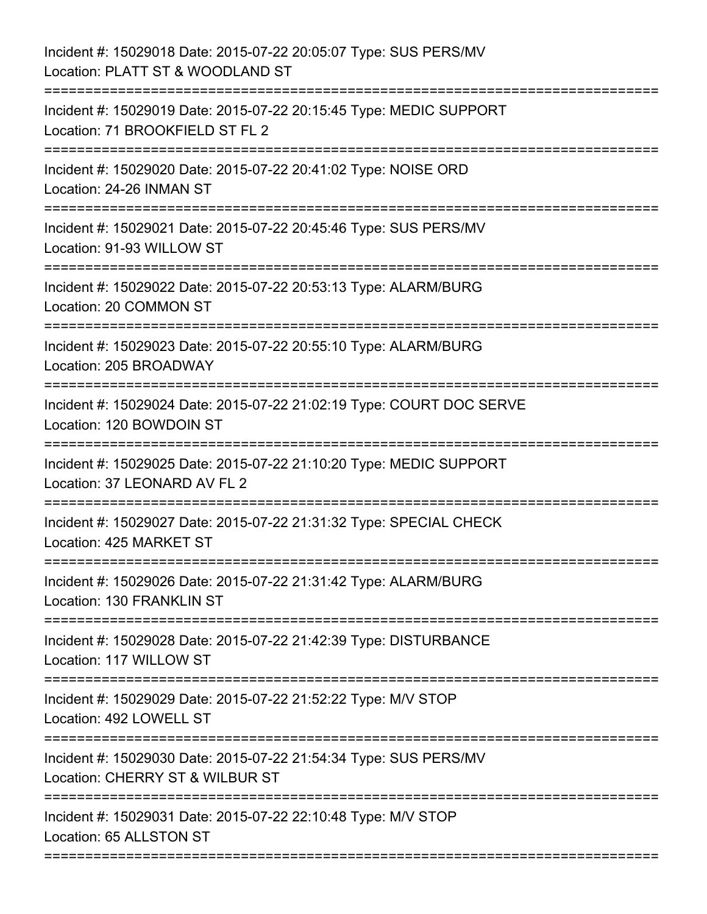Incident #: 15029018 Date: 2015-07-22 20:05:07 Type: SUS PERS/MV Location: PLATT ST & WOODLAND ST =========================================================================== Incident #: 15029019 Date: 2015-07-22 20:15:45 Type: MEDIC SUPPORT Location: 71 BROOKFIELD ST FL 2 =========================================================================== Incident #: 15029020 Date: 2015-07-22 20:41:02 Type: NOISE ORD Location: 24-26 INMAN ST =========================================================================== Incident #: 15029021 Date: 2015-07-22 20:45:46 Type: SUS PERS/MV Location: 91-93 WILLOW ST =========================================================================== Incident #: 15029022 Date: 2015-07-22 20:53:13 Type: ALARM/BURG Location: 20 COMMON ST =========================================================================== Incident #: 15029023 Date: 2015-07-22 20:55:10 Type: ALARM/BURG Location: 205 BROADWAY =========================================================================== Incident #: 15029024 Date: 2015-07-22 21:02:19 Type: COURT DOC SERVE Location: 120 BOWDOIN ST =========================================================================== Incident #: 15029025 Date: 2015-07-22 21:10:20 Type: MEDIC SUPPORT Location: 37 LEONARD AV FL 2 =========================================================================== Incident #: 15029027 Date: 2015-07-22 21:31:32 Type: SPECIAL CHECK Location: 425 MARKET ST =========================================================================== Incident #: 15029026 Date: 2015-07-22 21:31:42 Type: ALARM/BURG Location: 130 FRANKLIN ST =========================================================================== Incident #: 15029028 Date: 2015-07-22 21:42:39 Type: DISTURBANCE Location: 117 WILLOW ST =========================================================================== Incident #: 15029029 Date: 2015-07-22 21:52:22 Type: M/V STOP Location: 492 LOWELL ST =========================================================================== Incident #: 15029030 Date: 2015-07-22 21:54:34 Type: SUS PERS/MV Location: CHERRY ST & WILBUR ST =========================================================================== Incident #: 15029031 Date: 2015-07-22 22:10:48 Type: M/V STOP Location: 65 ALLSTON ST ===========================================================================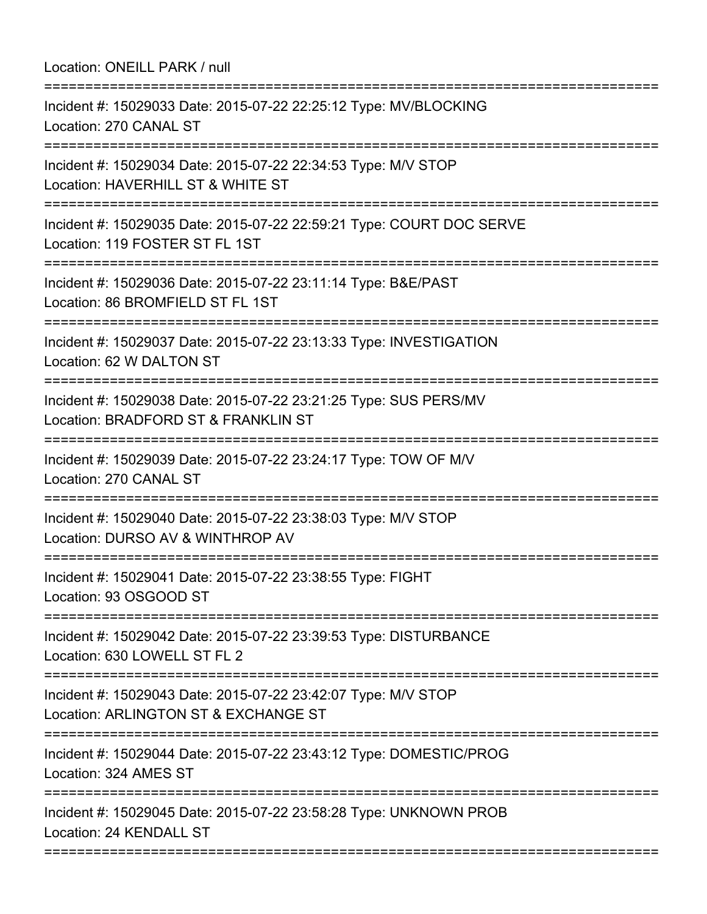Location: ONEILL PARK / null =========================================================================== Incident #: 15029033 Date: 2015-07-22 22:25:12 Type: MV/BLOCKING Location: 270 CANAL ST =========================================================================== Incident #: 15029034 Date: 2015-07-22 22:34:53 Type: M/V STOP Location: HAVERHILL ST & WHITE ST =========================================================================== Incident #: 15029035 Date: 2015-07-22 22:59:21 Type: COURT DOC SERVE Location: 119 FOSTER ST FL 1ST =========================================================================== Incident #: 15029036 Date: 2015-07-22 23:11:14 Type: B&E/PAST Location: 86 BROMFIELD ST FL 1ST =========================================================================== Incident #: 15029037 Date: 2015-07-22 23:13:33 Type: INVESTIGATION Location: 62 W DALTON ST =========================================================================== Incident #: 15029038 Date: 2015-07-22 23:21:25 Type: SUS PERS/MV Location: BRADFORD ST & FRANKLIN ST =========================================================================== Incident #: 15029039 Date: 2015-07-22 23:24:17 Type: TOW OF M/V Location: 270 CANAL ST =========================================================================== Incident #: 15029040 Date: 2015-07-22 23:38:03 Type: M/V STOP Location: DURSO AV & WINTHROP AV =========================================================================== Incident #: 15029041 Date: 2015-07-22 23:38:55 Type: FIGHT Location: 93 OSGOOD ST =========================================================================== Incident #: 15029042 Date: 2015-07-22 23:39:53 Type: DISTURBANCE Location: 630 LOWELL ST FL 2 =========================================================================== Incident #: 15029043 Date: 2015-07-22 23:42:07 Type: M/V STOP Location: ARLINGTON ST & EXCHANGE ST =========================================================================== Incident #: 15029044 Date: 2015-07-22 23:43:12 Type: DOMESTIC/PROG Location: 324 AMES ST =========================================================================== Incident #: 15029045 Date: 2015-07-22 23:58:28 Type: UNKNOWN PROB Location: 24 KENDALL ST ===========================================================================